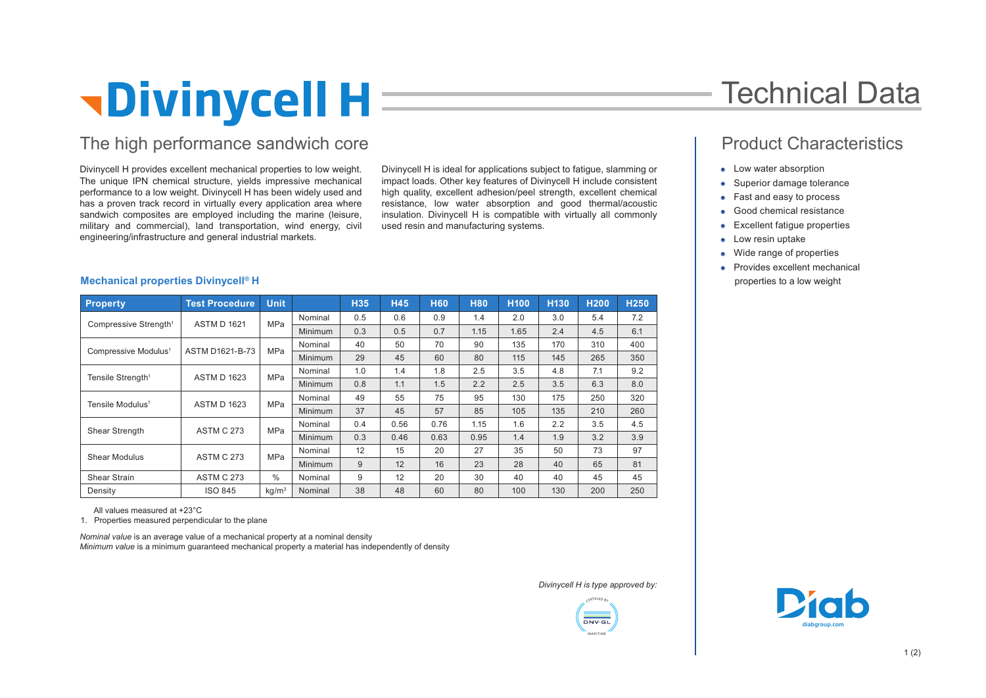# **NDivinycell H**

### The high performance sandwich core

Divinycell H provides excellent mechanical properties to low weight. The unique IPN chemical structure, yields impressive mechanical performance to a low weight. Divinycell H has been widely used and has a proven track record in virtually every application area where sandwich composites are employed including the marine (leisure, military and commercial), land transportation, wind energy, civil engineering/infrastructure and general industrial markets.

Divinycell H is ideal for applications subject to fatigue, slamming or impact loads. Other key features of Divinycell H include consistent high quality, excellent adhesion/peel strength, excellent chemical resistance, low water absorption and good thermal/acoustic insulation. Divinycell H is compatible with virtually all commonly used resin and manufacturing systems.

## Technical Data

### Product Characteristics

- Low water absorption
- Superior damage tolerance
- Fast and easy to process
- Good chemical resistance
- Excellent fatigue properties
- Low resin uptake
- Wide range of properties
- Provides excellent mechanical properties to a low weight

#### **Mechanical properties Divinycell® H**

| <b>Property</b>                   | <b>Test Procedure</b> | <b>Unit</b>       |         | <b>H35</b> | <b>H45</b> | <b>H60</b> | <b>H80</b> | <b>H100</b> | <b>H130</b> | <b>H200</b> | <b>H250</b> |
|-----------------------------------|-----------------------|-------------------|---------|------------|------------|------------|------------|-------------|-------------|-------------|-------------|
| Compressive Strength <sup>1</sup> | <b>ASTM D 1621</b>    | MPa               | Nominal | 0.5        | 0.6        | 0.9        | 1.4        | 2.0         | 3.0         | 5.4         | 7.2         |
|                                   |                       |                   | Minimum | 0.3        | 0.5        | 0.7        | 1.15       | 1.65        | 2.4         | 4.5         | 6.1         |
| Compressive Modulus <sup>1</sup>  | ASTM D1621-B-73       | MPa               | Nominal | 40         | 50         | 70         | 90         | 135         | 170         | 310         | 400         |
|                                   |                       |                   | Minimum | 29         | 45         | 60         | 80         | 115         | 145         | 265         | 350         |
| Tensile Strength <sup>1</sup>     | <b>ASTM D 1623</b>    | MPa               | Nominal | 1.0        | 1.4        | 1.8        | 2.5        | 3.5         | 4.8         | 7.1         | 9.2         |
|                                   |                       |                   | Minimum | 0.8        | 1.1        | 1.5        | 2.2        | 2.5         | 3.5         | 6.3         | 8.0         |
| Tensile Modulus <sup>1</sup>      | <b>ASTM D 1623</b>    | MPa               | Nominal | 49         | 55         | 75         | 95         | 130         | 175         | 250         | 320         |
|                                   |                       |                   | Minimum | 37         | 45         | 57         | 85         | 105         | 135         | 210         | 260         |
| <b>Shear Strength</b>             | <b>ASTM C 273</b>     | MPa               | Nominal | 0.4        | 0.56       | 0.76       | 1.15       | 1.6         | 2.2         | 3.5         | 4.5         |
|                                   |                       |                   | Minimum | 0.3        | 0.46       | 0.63       | 0.95       | 1.4         | 1.9         | 3.2         | 3.9         |
| Shear Modulus                     | <b>ASTM C 273</b>     | MPa               | Nominal | 12         | 15         | 20         | 27         | 35          | 50          | 73          | 97          |
|                                   |                       |                   | Minimum | 9          | 12         | 16         | 23         | 28          | 40          | 65          | 81          |
| <b>Shear Strain</b>               | <b>ASTM C 273</b>     | $\frac{0}{0}$     | Nominal | 9          | 12         | 20         | 30         | 40          | 40          | 45          | 45          |
| Density                           | <b>ISO 845</b>        | kg/m <sup>3</sup> | Nominal | 38         | 48         | 60         | 80         | 100         | 130         | 200         | 250         |

All values measured at +23°C

1. Properties measured perpendicular to the plane

*Nominal value* is an average value of a mechanical property at a nominal density *Minimum value* is a minimum guaranteed mechanical property a material has independently of density

*Divinycell H is type approved by:*